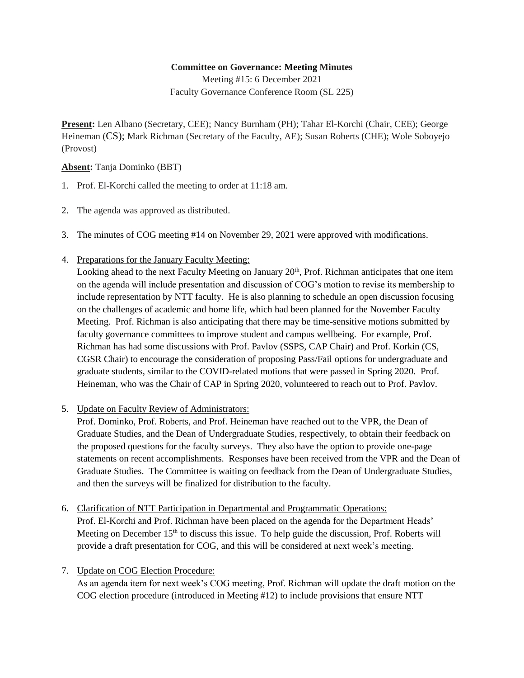## **Committee on Governance: Meeting Minutes**

Meeting #15: 6 December 2021 Faculty Governance Conference Room (SL 225)

**Present:** Len Albano (Secretary, CEE); Nancy Burnham (PH); Tahar El-Korchi (Chair, CEE); George Heineman (CS); Mark Richman (Secretary of the Faculty, AE); Susan Roberts (CHE); Wole Soboyejo (Provost)

**Absent:** Tanja Dominko (BBT)

- 1. Prof. El-Korchi called the meeting to order at 11:18 am.
- 2. The agenda was approved as distributed.
- 3. The minutes of COG meeting #14 on November 29, 2021 were approved with modifications.
- 4. Preparations for the January Faculty Meeting:

Looking ahead to the next Faculty Meeting on January 20<sup>th</sup>, Prof. Richman anticipates that one item on the agenda will include presentation and discussion of COG's motion to revise its membership to include representation by NTT faculty. He is also planning to schedule an open discussion focusing on the challenges of academic and home life, which had been planned for the November Faculty Meeting. Prof. Richman is also anticipating that there may be time-sensitive motions submitted by faculty governance committees to improve student and campus wellbeing. For example, Prof. Richman has had some discussions with Prof. Pavlov (SSPS, CAP Chair) and Prof. Korkin (CS, CGSR Chair) to encourage the consideration of proposing Pass/Fail options for undergraduate and graduate students, similar to the COVID-related motions that were passed in Spring 2020. Prof. Heineman, who was the Chair of CAP in Spring 2020, volunteered to reach out to Prof. Pavlov.

5. Update on Faculty Review of Administrators:

Prof. Dominko, Prof. Roberts, and Prof. Heineman have reached out to the VPR, the Dean of Graduate Studies, and the Dean of Undergraduate Studies, respectively, to obtain their feedback on the proposed questions for the faculty surveys. They also have the option to provide one-page statements on recent accomplishments. Responses have been received from the VPR and the Dean of Graduate Studies. The Committee is waiting on feedback from the Dean of Undergraduate Studies, and then the surveys will be finalized for distribution to the faculty.

6. Clarification of NTT Participation in Departmental and Programmatic Operations: Prof. El-Korchi and Prof. Richman have been placed on the agenda for the Department Heads'

Meeting on December  $15<sup>th</sup>$  to discuss this issue. To help guide the discussion, Prof. Roberts will provide a draft presentation for COG, and this will be considered at next week's meeting.

7. Update on COG Election Procedure:

As an agenda item for next week's COG meeting, Prof. Richman will update the draft motion on the COG election procedure (introduced in Meeting #12) to include provisions that ensure NTT